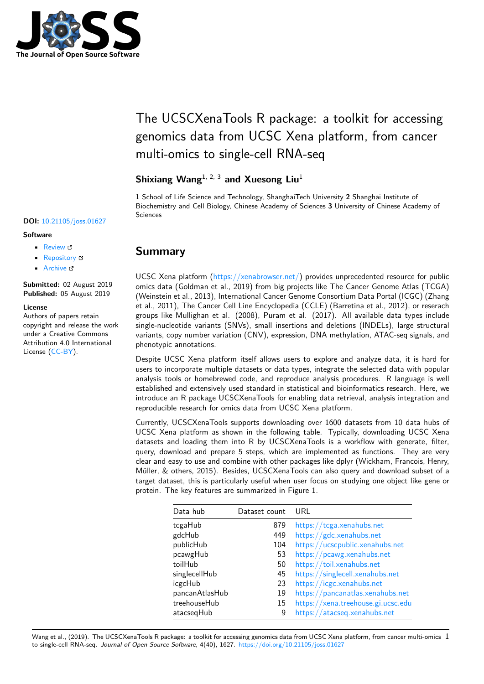

# The UCSCXenaTools R package: a toolkit for accessing genomics data from UCSC Xena platform, from cancer multi-omics to single-cell RNA-seq

## **Shixiang Wang**1, 2, 3 **and Xuesong Liu**<sup>1</sup>

**1** School of Life Science and Technology, ShanghaiTech University **2** Shanghai Institute of Biochemistry and Cell Biology, Chinese Academy of Sciences **3** University of Chinese Academy of Sciences

• Review & • [Repository](https://doi.org/10.21105/joss.01627) &

**DOI:** 10.21105/joss.01627

• Archive

**Subm[itted:](https://github.com/openjournals/joss-reviews/issues/1627)** 02 August 2019 **Published:** [05 Au](https://github.com/ropensci/UCSCXenaTools)gust 2019

### **Licen[se](https://doi.org/10.5281/zenodo.3358530)**

**Software**

Authors of papers retain copyright and release the work under a Creative Commons Attribution 4.0 International License (CC-BY).

## **Summary**

UCSC Xena platform (https://xenabrowser.net/) provides unprecedented resource for public omics data (Goldman et al., 2019) from big projects like The Cancer Genome Atlas (TCGA) (Weinstein et al., 2013), International Cancer Genome Consortium Data Portal (ICGC) (Zhang et al., 2011), The Cancer Cell Line Encyclopedia (CCLE) (Barretina et al., 2012), or reserach groups like Mullighan [et al. \(2008\), Puram et a](https://xenabrowser.net/)l. (2017). All available data types include single-nucleotide variants (SNVs), small insertions and deletions (INDELs), large structural variants, copy number variation (CNV), expression, DNA methylation, ATAC-seq signals, and phenotypic annotations.

Despite UCSC Xena platform itself allows users to explore and analyze data, it is hard for users to incorporate multiple datasets or data types, integrate the selected data with popular analysis tools or homebrewed code, and reproduce analysis procedures. R language is well established and extensively used standard in statistical and bioinformatics research. Here, we introduce an R package UCSCXenaTools for enabling data retrieval, analysis integration and reproducible research for omics data from UCSC Xena platform.

Currently, UCSCXenaTools supports downloading over 1600 datasets from 10 data hubs of UCSC Xena platform as shown in the following table. Typically, downloading UCSC Xena datasets and loading them into R by UCSCXenaTools is a workflow with generate, filter, query, download and prepare 5 steps, which are implemented as functions. They are very clear and easy to use and combine with other packages like dplyr (Wickham, Francois, Henry, Müller, & others, 2015). Besides, UCSCXenaTools can also query and download subset of a target dataset, this is particularly useful when user focus on studying one object like gene or protein. The key features are summarized in Figure 1.

| Data hub       | Dataset count | URL                                |
|----------------|---------------|------------------------------------|
| tcgaHub        | 879           | https://tcga.xenahubs.net          |
| gdcHub         | 449           | https://gdc.xenahubs.net           |
| publicHub      | 104           | https://ucscpublic.xenahubs.net    |
| pcawgHub       | 53            | https://pcawg.xenahubs.net         |
| toilHub        | 50            | https://toil.xenahubs.net          |
| singlecellHub  | 45            | https://singlecell.xenahubs.net    |
| icgcHub        | 23            | https://icgc.xenahubs.net          |
| pancanAtlasHub | 19            | https://pancanatlas.xenahubs.net   |
| treehouseHub   | 15            | https://xena.treehouse.gi.ucsc.edu |
| atacsegHub     | 9             | https://atacseq.xenahubs.net       |

Wang et al., (2019). The UCSCXenaTools R package: a toolkit for accessing genomics data [from UCSC Xena platform, from cancer](https://pancanatlas.xenahubs.net) [m](https://xena.treehouse.gi.ucsc.edu)ulti-omics 1to single-cell RNA-seq. *Journal of Open Source Software*, 4(40), 1627. https://doi.org/10.[21105/joss.01627](https://atacseq.xenahubs.net)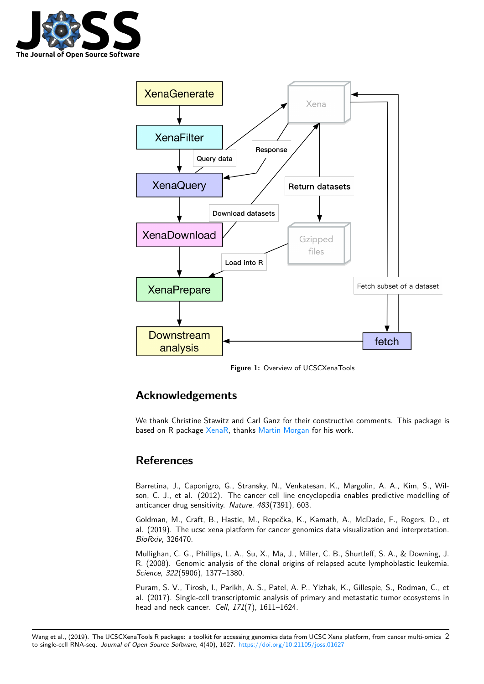



**Figure 1:** Overview of UCSCXenaTools

## **Acknowledgements**

We thank Christine Stawitz and Carl Ganz for their constructive comments. This package is based on R package XenaR, thanks Martin Morgan for his work.

## **References**

Barretina, J., Caponigro, G., Stransky, N., Venkatesan, K., Margolin, A. A., Kim, S., Wilson, C. J., et al. (2012). The cancer cell line encyclopedia enables predictive modelling of anticancer drug sensitivity. *Nature*, *483*(7391), 603.

Goldman, M., Craft, B., Hastie, M., Repečka, K., Kamath, A., McDade, F., Rogers, D., et al. (2019). The ucsc xena platform for cancer genomics data visualization and interpretation. *BioRxiv*, 326470.

Mullighan, C. G., Phillips, L. A., Su, X., Ma, J., Miller, C. B., Shurtleff, S. A., & Downing, J. R. (2008). Genomic analysis of the clonal origins of relapsed acute lymphoblastic leukemia. *Science*, *322*(5906), 1377–1380.

Puram, S. V., Tirosh, I., Parikh, A. S., Patel, A. P., Yizhak, K., Gillespie, S., Rodman, C., et al. (2017). Single-cell transcriptomic analysis of primary and metastatic tumor ecosystems in head and neck cancer. *Cell*, *171*(7), 1611–1624.

Wang et al., (2019). The UCSCXenaTools R package: a toolkit for accessing genomics data from UCSC Xena platform, from cancer multi-omics 2to single-cell RNA-seq. *Journal of Open Source Software*, 4(40), 1627. https://doi.org/10.21105/joss.01627